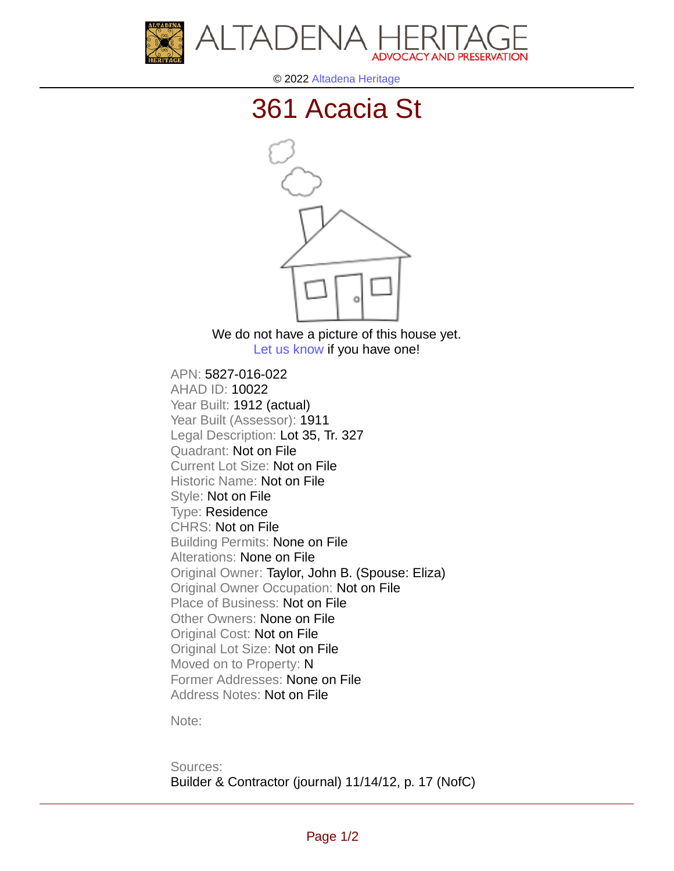



© 2022 [Altadena Heritage](http://altadenaheritage.org/)

## [361 Acacia St](ahad.altadenaheritagepdb.org/properties/10022)



We do not have a picture of this house yet. [Let us know](http://altadenaheritage.org/contact-us/) if you have one!

APN: 5827-016-022 [AHAD ID: 10022](ahad.altadenaheritagepdb.org/properties/10022) Year Built: 1912 (actual) Year Built (Assessor): 1911 Legal Description: Lot 35, Tr. 327 Quadrant: Not on File Current Lot Size: Not on File Historic Name: Not on File Style: Not on File Type: Residence CHRS: Not on File Building Permits: None on File Alterations: None on File Original Owner: Taylor, John B. (Spouse: Eliza) Original Owner Occupation: Not on File Place of Business: Not on File Other Owners: None on File Original Cost: Not on File Original Lot Size: Not on File Moved on to Property: N Former Addresses: None on File Address Notes: Not on File

Note:

Sources: Builder & Contractor (journal) 11/14/12, p. 17 (NofC)